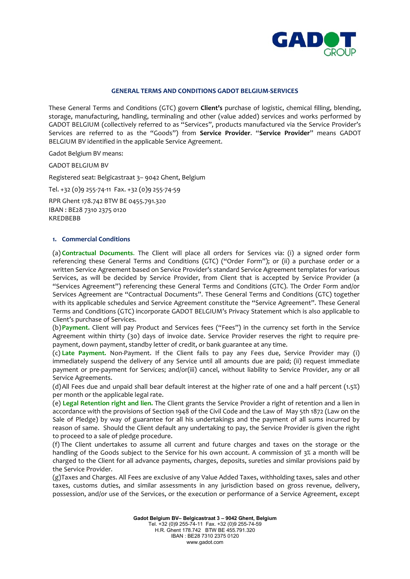

## **GENERAL TERMS AND CONDITIONS GADOT BELGIUM-SERVICES**

These General Terms and Conditions (GTC) govern **Client's** purchase of logistic, chemical filling, blending, storage, manufacturing, handling, terminaling and other (value added) services and works performed by GADOT BELGIUM (collectively referred to as "Services", products manufactured via the Service Provider's Services are referred to as the "Goods") from **Service Provider**. "**Service Provider**" means GADOT BELGIUM BV identified in the applicable Service Agreement.

Gadot Belgium BV means:

GADOT BELGIUM BV

Registered seat: Belgicastraat 3– 9042 Ghent, Belgium

Tel. +32 (0)9 255-74-11 Fax. +32 (0)9 255-74-59

RPR Ghent 178.742 BTW BE 0455.791.320 IBAN : BE28 7310 2375 0120 KREDBEBB

#### **1. Commercial Conditions**

(a) **Contractual Documents**. The Client will place all orders for Services via: (i) a signed order form referencing these General Terms and Conditions (GTC) ("Order Form"); or (ii) a purchase order or a written Service Agreement based on Service Provider's standard Service Agreement templates for various Services, as will be decided by Service Provider, from Client that is accepted by Service Provider (a "Services Agreement") referencing these General Terms and Conditions (GTC). The Order Form and/or Services Agreement are "Contractual Documents". These General Terms and Conditions (GTC) together with its applicable schedules and Service Agreement constitute the "Service Agreement". These General Terms and Conditions (GTC) incorporate GADOT BELGIUM's Privacy Statement which is also applicable to Client's purchase of Services.

(b)**Payment.** Client will pay Product and Services fees ("Fees") in the currency set forth in the Service Agreement within thirty (30) days of invoice date. Service Provider reserves the right to require prepayment, down payment, standby letter of credit, or bank guarantee at any time.

(c) **Late Payment.** Non-Payment. If the Client fails to pay any Fees due, Service Provider may (i) immediately suspend the delivery of any Service until all amounts due are paid; (ii) request immediate payment or pre-payment for Services; and/or(iii) cancel, without liability to Service Provider, any or all Service Agreements.

(d)All Fees due and unpaid shall bear default interest at the higher rate of one and a half percent (1.5%) per month or the applicable legal rate.

(e) **Legal Retention right and lien.** The Client grants the Service Provider a right of retention and a lien in accordance with the provisions of Section 1948 of the Civil Code and the Law of May 5th 1872 (Law on the Sale of Pledge) by way of guarantee for all his undertakings and the payment of all sums incurred by reason of same. Should the Client default any undertaking to pay, the Service Provider is given the right to proceed to a sale of pledge procedure.

(f) The Client undertakes to assume all current and future charges and taxes on the storage or the handling of the Goods subject to the Service for his own account. A commission of 3% a month will be charged to the Client for all advance payments, charges, deposits, sureties and similar provisions paid by the Service Provider.

(g)Taxes and Charges. All Fees are exclusive of any Value Added Taxes, withholding taxes, sales and other taxes, customs duties, and similar assessments in any jurisdiction based on gross revenue, delivery, possession, and/or use of the Services, or the execution or performance of a Service Agreement, except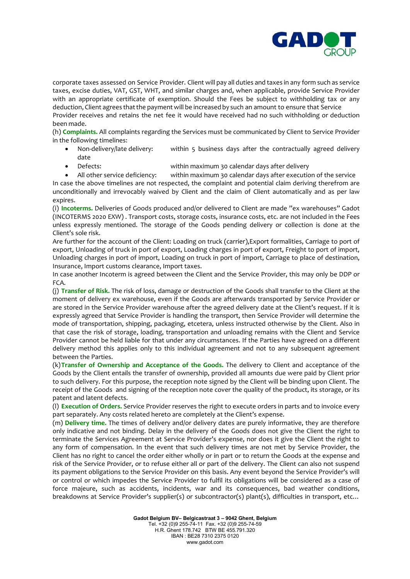

corporate taxes assessed on Service Provider. Client will pay all duties and taxes in any form such as service taxes, excise duties, VAT, GST, WHT, and similar charges and, when applicable, provide Service Provider with an appropriate certificate of exemption. Should the Fees be subject to withholding tax or any deduction, Client agrees that the payment will be increased by such an amount to ensure that Service Provider receives and retains the net fee it would have received had no such withholding or deduction been made.

(h) **Complaints.** All complaints regarding the Services must be communicated by Client to Service Provider in the following timelines:

- Non-delivery/late delivery: within 5 business days after the contractually agreed delivery date
- Defects: within maximum 30 calendar days after delivery
- All other service deficiency: within maximum 30 calendar days after execution of the service

In case the above timelines are not respected, the complaint and potential claim deriving therefrom are unconditionally and irrevocably waived by Client and the claim of Client automatically and as per law expires.

(i) **Incoterms.** Deliveries of Goods produced and/or delivered to Client are made "ex warehouses" Gadot (INCOTERMS 2020 EXW) . Transport costs, storage costs, insurance costs, etc. are not included in the Fees unless expressly mentioned. The storage of the Goods pending delivery or collection is done at the Client's sole risk.

Are further for the account of the Client: Loading on truck (carrier),Export formalities, Carriage to port of export, Unloading of truck in port of export, Loading charges in port of export, Freight to port of import, Unloading charges in port of import, Loading on truck in port of import, Carriage to place of destination, Insurance, Import customs clearance, Import taxes.

In case another Incoterm is agreed between the Client and the Service Provider, this may only be DDP or FCA.

(j) **Transfer of Risk.** The risk of loss, damage or destruction of the Goods shall transfer to the Client at the moment of delivery ex warehouse, even if the Goods are afterwards transported by Service Provider or are stored in the Service Provider warehouse after the agreed delivery date at the Client's request. If it is expressly agreed that Service Provider is handling the transport, then Service Provider will determine the mode of transportation, shipping, packaging, etcetera, unless instructed otherwise by the Client. Also in that case the risk of storage, loading, transportation and unloading remains with the Client and Service Provider cannot be held liable for that under any circumstances. If the Parties have agreed on a different delivery method this applies only to this individual agreement and not to any subsequent agreement between the Parties.

(k)**Transfer of Ownership and Acceptance of the Goods.** The delivery to Client and acceptance of the Goods by the Client entails the transfer of ownership, provided all amounts due were paid by Client prior to such delivery. For this purpose, the reception note signed by the Client will be binding upon Client. The receipt of the Goods and signing of the reception note cover the quality of the product, its storage, or its patent and latent defects.

(l) **Execution of Orders.** Service Provider reserves the right to execute orders in parts and to invoice every part separately. Any costs related hereto are completely at the Client's expense.

(m) **Delivery time.** The times of delivery and/or delivery dates are purely informative, they are therefore only indicative and not binding. Delay in the delivery of the Goods does not give the Client the right to terminate the Services Agreement at Service Provider's expense, nor does it give the Client the right to any form of compensation. In the event that such delivery times are not met by Service Provider, the Client has no right to cancel the order either wholly or in part or to return the Goods at the expense and risk of the Service Provider, or to refuse either all or part of the delivery. The Client can also not suspend its payment obligations to the Service Provider on this basis. Any event beyond the Service Provider's will or control or which impedes the Service Provider to fulfil its obligations will be considered as a case of force majeure, such as accidents, incidents, war and its consequences, bad weather conditions, breakdowns at Service Provider's supplier(s) or subcontractor(s) plant(s), difficulties in transport, etc…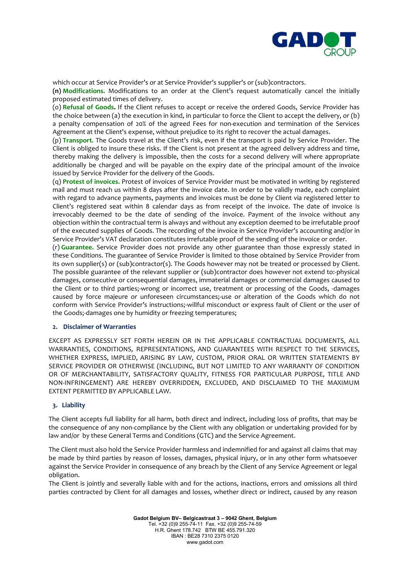

which occur at Service Provider's or at Service Provider's supplier's or (sub)contractors.

**(n) Modifications.** Modifications to an order at the Client's request automatically cancel the initially proposed estimated times of delivery.

(o) **Refusal of Goods.** If the Client refuses to accept or receive the ordered Goods, Service Provider has the choice between (a) the execution in kind, in particular to force the Client to accept the delivery, or (b) a penalty compensation of 20% of the agreed Fees for non-execution and termination of the Services Agreement at the Client's expense, without prejudice to its right to recover the actual damages.

(p) **Transport.** The Goods travel at the Client's risk, even if the transport is paid by Service Provider. The Client is obliged to insure these risks. If the Client is not present at the agreed delivery address and time, thereby making the delivery is impossible, then the costs for a second delivery will where appropriate additionally be charged and will be payable on the expiry date of the principal amount of the invoice issued by Service Provider for the delivery of the Goods.

(q) **Protest of invoices.** Protest of invoices of Service Provider must be motivated in writing by registered mail and must reach us within 8 days after the invoice date. In order to be validly made, each complaint with regard to advance payments, payments and invoices must be done by Client via registered letter to Client's registered seat within 8 calendar days as from receipt of the invoice. The date of invoice is irrevocably deemed to be the date of sending of the invoice. Payment of the invoice without any objection within the contractual term is always and without any exception deemed to be irrefutable proof of the executed supplies of Goods. The recording of the invoice in Service Provider's accounting and/or in Service Provider's VAT declaration constitutes irrefutable proof of the sending of the invoice or order.

(r) **Guarantee.** Service Provider does not provide any other guarantee than those expressly stated in these Conditions. The guarantee of Service Provider is limited to those obtained by Service Provider from its own supplier(s) or (sub)contractor(s). The Goods however may not be treated or processed by Client. The possible guarantee of the relevant supplier or (sub)contractor does however not extend to:-physical damages, consecutive or consequential damages, immaterial damages or commercial damages caused to the Client or to third parties;-wrong or incorrect use, treatment or processing of the Goods, -damages caused by force majeure or unforeseen circumstances;-use or alteration of the Goods which do not conform with Service Provider's instructions;-willful misconduct or express fault of Client or the user of the Goods;-damages one by humidity or freezing temperatures;

# **2. Disclaimer of Warranties**

EXCEPT AS EXPRESSLY SET FORTH HEREIN OR IN THE APPLICABLE CONTRACTUAL DOCUMENTS, ALL WARRANTIES, CONDITIONS, REPRESENTATIONS, AND GUARANTEES WITH RESPECT TO THE SERVICES, WHETHER EXPRESS, IMPLIED, ARISING BY LAW, CUSTOM, PRIOR ORAL OR WRITTEN STATEMENTS BY SERVICE PROVIDER OR OTHERWISE (INCLUDING, BUT NOT LIMITED TO ANY WARRANTY OF CONDITION OR OF MERCHANTABILITY, SATISFACTORY QUALITY, FITNESS FOR PARTICULAR PURPOSE, TITLE AND NON-INFRINGEMENT) ARE HEREBY OVERRIDDEN, EXCLUDED, AND DISCLAIMED TO THE MAXIMUM EXTENT PERMITTED BY APPLICABLE LAW.

# **3. Liability**

The Client accepts full liability for all harm, both direct and indirect, including loss of profits, that may be the consequence of any non-compliance by the Client with any obligation or undertaking provided for by law and/or by these General Terms and Conditions (GTC) and the Service Agreement.

The Client must also hold the Service Provider harmless and indemnified for and against all claims that may be made by third parties by reason of losses, damages, physical injury, or in any other form whatsoever against the Service Provider in consequence of any breach by the Client of any Service Agreement or legal obligation.

The Client is jointly and severally liable with and for the actions, inactions, errors and omissions all third parties contracted by Client for all damages and losses, whether direct or indirect, caused by any reason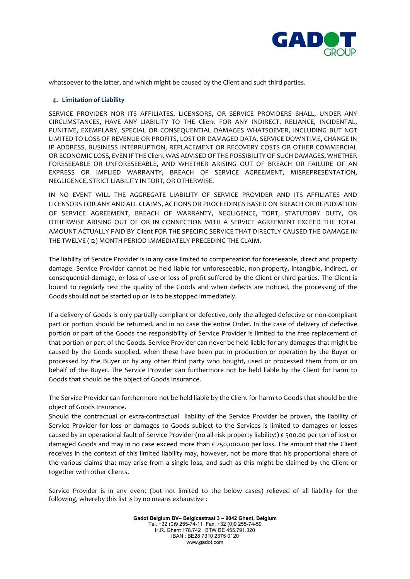

whatsoever to the latter, and which might be caused by the Client and such third parties.

## **4. Limitation of Liability**

SERVICE PROVIDER NOR ITS AFFILIATES, LICENSORS, OR SERVICE PROVIDERS SHALL, UNDER ANY CIRCUMSTANCES, HAVE ANY LIABILITY TO THE Client FOR ANY INDIRECT, RELIANCE, INCIDENTAL, PUNITIVE, EXEMPLARY, SPECIAL OR CONSEQUENTIAL DAMAGES WHATSOEVER, INCLUDING BUT NOT LIMITED TO LOSS OF REVENUE OR PROFITS, LOST OR DAMAGED DATA, SERVICE DOWNTIME, CHANGE IN IP ADDRESS, BUSINESS INTERRUPTION, REPLACEMENT OR RECOVERY COSTS OR OTHER COMMERCIAL OR ECONOMIC LOSS, EVEN IF THE Client WAS ADVISEDOF THE POSSIBILITY OF SUCH DAMAGES, WHETHER FORESEEABLE OR UNFORESEEABLE, AND WHETHER ARISING OUT OF BREACH OR FAILURE OF AN EXPRESS OR IMPLIED WARRANTY, BREACH OF SERVICE AGREEMENT, MISREPRESENTATION, NEGLIGENCE, STRICT LIABILITY INTORT, OR OTHERWISE.

IN NO EVENT WILL THE AGGREGATE LIABILITY OF SERVICE PROVIDER AND ITS AFFILIATES AND LICENSORS FOR ANY AND ALL CLAIMS, ACTIONS OR PROCEEDINGS BASED ON BREACH OR REPUDIATION OF SERVICE AGREEMENT, BREACH OF WARRANTY, NEGLIGENCE, TORT, STATUTORY DUTY, OR OTHERWISE ARISING OUT OF OR IN CONNECTION WITH A SERVICE AGREEMENT EXCEED THE TOTAL AMOUNT ACTUALLY PAID BY Client FOR THE SPECIFIC SERVICE THAT DIRECTLY CAUSED THE DAMAGE IN THE TWELVE (12) MONTH PERIOD IMMEDIATELY PRECEDING THE CLAIM.

The liability of Service Provider is in any case limited to compensation for foreseeable, direct and property damage. Service Provider cannot be held liable for unforeseeable, non-property, intangible, indirect, or consequential damage, or loss of use or loss of profit suffered by the Client or third parties. The Client is bound to regularly test the quality of the Goods and when defects are noticed, the processing of the Goods should not be started up or is to be stopped immediately.

If a delivery of Goods is only partially compliant or defective, only the alleged defective or non-compliant part or portion should be returned, and in no case the entire Order. In the case of delivery of defective portion or part of the Goods the responsibility of Service Provider is limited to the free replacement of that portion or part of the Goods. Service Provider can never be held liable for any damages that might be caused by the Goods supplied, when these have been put in production or operation by the Buyer or processed by the Buyer or by any other third party who bought, used or processed them from or on behalf of the Buyer. The Service Provider can furthermore not be held liable by the Client for harm to Goods that should be the object of Goods Insurance.

The Service Provider can furthermore not be held liable by the Client for harm to Goods that should be the object of Goods Insurance.

Should the contractual or extra-contractual liability of the Service Provider be proven, the liability of Service Provider for loss or damages to Goods subject to the Services is limited to damages or losses caused by an operational fault of Service Provider (no all-risk property liability!) € 500.00 per ton of lost or damaged Goods and may in no case exceed more than € 250,000.00 per loss. The amount that the Client receives in the context of this limited liability may, however, not be more that his proportional share of the various claims that may arise from a single loss, and such as this might be claimed by the Client or together with other Clients.

Service Provider is in any event (but not limited to the below cases) relieved of all liability for the following, whereby this list is by no means exhaustive :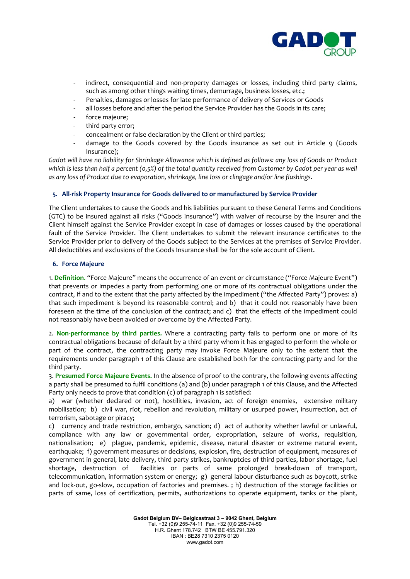

- indirect, consequential and non-property damages or losses, including third party claims, such as among other things waiting times, demurrage, business losses, etc.;
- Penalties, damages or losses for late performance of delivery of Services or Goods
- all losses before and after the period the Service Provider has the Goods in its care;
- force majeure;
- third party error:
- concealment or false declaration by the Client or third parties;
- damage to the Goods covered by the Goods insurance as set out in Article 9 (Goods Insurance);

*Gadot will have no liability for Shrinkage Allowance which is defined as follows: any loss of Goods or Product which is less than half a percent (0,5%) of the total quantity received from Customer by Gadot per year as well as any loss of Product due to evaporation, shrinkage, line loss or clingage and/or line flushings.*

# **5. All-risk Property Insurance for Goods delivered to or manufactured by Service Provider**

The Client undertakes to cause the Goods and his liabilities pursuant to these General Terms and Conditions (GTC) to be insured against all risks ("Goods Insurance") with waiver of recourse by the insurer and the Client himself against the Service Provider except in case of damages or losses caused by the operational fault of the Service Provider. The Client undertakes to submit the relevant insurance certificates to the Service Provider prior to delivery of the Goods subject to the Services at the premises of Service Provider. All deductibles and exclusions of the Goods Insurance shall be for the sole account of Client.

## **6. Force Majeure**

1. **Definition**. "Force Majeure" means the occurrence of an event or circumstance ("Force Majeure Event") that prevents or impedes a party from performing one or more of its contractual obligations under the contract, if and to the extent that the party affected by the impediment ("the Affected Party") proves: a) that such impediment is beyond its reasonable control; and b) that it could not reasonably have been foreseen at the time of the conclusion of the contract; and c) that the effects of the impediment could not reasonably have been avoided or overcome by the Affected Party.

2. **Non-performance by third parties.** Where a contracting party fails to perform one or more of its contractual obligations because of default by a third party whom it has engaged to perform the whole or part of the contract, the contracting party may invoke Force Majeure only to the extent that the requirements under paragraph 1 of this Clause are established both for the contracting party and for the third party.

3. **Presumed Force Majeure Events.** In the absence of proof to the contrary, the following events affecting a party shall be presumed to fulfil conditions (a) and (b) under paragraph 1 of this Clause, and the Affected Party only needs to prove that condition  $(c)$  of paragraph 1 is satisfied:

a) war (whether declared or not), hostilities, invasion, act of foreign enemies, extensive military mobilisation; b) civil war, riot, rebellion and revolution, military or usurped power, insurrection, act of terrorism, sabotage or piracy;

c) currency and trade restriction, embargo, sanction; d) act of authority whether lawful or unlawful, compliance with any law or governmental order, expropriation, seizure of works, requisition, nationalisation; e) plague, pandemic, epidemic, disease, natural disaster or extreme natural event, earthquake; f) government measures or decisions, explosion, fire, destruction of equipment, measures of government in general, late delivery, third party strikes, bankruptcies of third parties, labor shortage, fuel shortage, destruction of facilities or parts of same prolonged break-down of transport, telecommunication, information system or energy; g) general labour disturbance such as boycott, strike and lock-out, go-slow, occupation of factories and premises. ; h) destruction of the storage facilities or parts of same, loss of certification, permits, authorizations to operate equipment, tanks or the plant,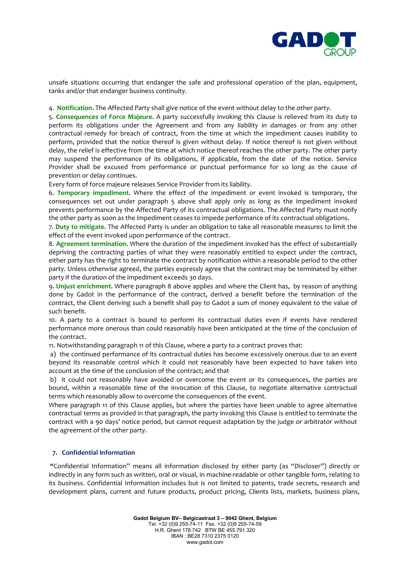

unsafe situations occurring that endanger the safe and professional operation of the plan, equipment, tanks and/or that endanger business continuity.

4. **Notification.** The Affected Party shall give notice of the event without delay to the other party.

5. **Consequences of Force Majeure.** A party successfully invoking this Clause is relieved from its duty to perform its obligations under the Agreement and from any liability in damages or from any other contractual remedy for breach of contract, from the time at which the impediment causes inability to perform, provided that the notice thereof is given without delay. If notice thereof is not given without delay, the relief is effective from the time at which notice thereof reaches the other party. The other party may suspend the performance of its obligations, if applicable, from the date of the notice. Service Provider shall be excused from performance or punctual performance for so long as the cause of prevention or delay continues.

Every form of force majeure releases Service Provider from its liability.

6. **Temporary impediment.** Where the effect of the impediment or event invoked is temporary, the consequences set out under paragraph 5 above shall apply only as long as the impediment invoked prevents performance by the Affected Party of its contractual obligations. The Affected Party must notify the other party as soon as the impediment ceases to impede performance of its contractual obligations.

7. **Duty to mitigate.** The Affected Party is under an obligation to take all reasonable measures to limit the effect of the event invoked upon performance of the contract.

8. **Agreement termination.** Where the duration of the impediment invoked has the effect of substantially depriving the contracting parties of what they were reasonably entitled to expect under the contract, either party has the right to terminate the contract by notification within a reasonable period to the other party. Unless otherwise agreed, the parties expressly agree that the contract may be terminated by either party if the duration of the impediment exceeds 30 days.

9. **Unjust enrichment.** Where paragraph 8 above applies and where the Client has, by reason of anything done by Gadot in the performance of the contract, derived a benefit before the termination of the contract, the Client deriving such a benefit shall pay to Gadot a sum of money equivalent to the value of such benefit.

10. A party to a contract is bound to perform its contractual duties even if events have rendered performance more onerous than could reasonably have been anticipated at the time of the conclusion of the contract.

11. Notwithstanding paragraph 11 of this Clause, where a party to a contract proves that:

a) the continued performance of its contractual duties has become excessively onerous due to an event beyond its reasonable control which it could not reasonably have been expected to have taken into account at the time of the conclusion of the contract; and that

b) it could not reasonably have avoided or overcome the event or its consequences, the parties are bound, within a reasonable time of the invocation of this Clause, to negotiate alternative contractual terms which reasonably allow to overcome the consequences of the event.

Where paragraph 11 of this Clause applies, but where the parties have been unable to agree alternative contractual terms as provided in that paragraph, the party invoking this Clause is entitled to terminate the contract with a 90 days' notice period, but cannot request adaptation by the judge or arbitrator without the agreement of the other party.

# **7. Confidential Information**

**"**Confidential Information" means all information disclosed by either party (as "Discloser") directly or indirectly in any form such as written, oral or visual, in machine-readable or other tangible form, relating to its business. Confidential Information includes but is not limited to patents, trade secrets, research and development plans, current and future products, product pricing, Clients lists, markets, business plans,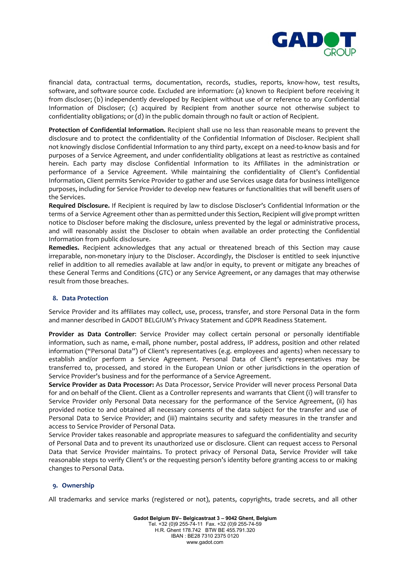

financial data, contractual terms, documentation, records, studies, reports, know-how, test results, software, and software source code. Excluded are information: (a) known to Recipient before receiving it from discloser; (b) independently developed by Recipient without use of or reference to any Confidential Information of Discloser; (c) acquired by Recipient from another source not otherwise subject to confidentiality obligations; or (d) in the public domain through no fault or action of Recipient.

**Protection of Confidential Information.** Recipient shall use no less than reasonable means to prevent the disclosure and to protect the confidentiality of the Confidential Information of Discloser. Recipient shall not knowingly disclose Confidential Information to any third party, except on a need-to-know basis and for purposes of a Service Agreement, and under confidentiality obligations at least as restrictive as contained herein. Each party may disclose Confidential Information to its Affiliates in the administration or performance of a Service Agreement. While maintaining the confidentiality of Client's Confidential Information, Client permits Service Provider to gather and use Services usage data for business intelligence purposes, including for Service Provider to develop new features or functionalities that will benefit users of the Services.

**Required Disclosure.** If Recipient is required by law to disclose Discloser's Confidential Information or the terms of a Service Agreement other than as permitted under this Section, Recipient will give prompt written notice to Discloser before making the disclosure, unless prevented by the legal or administrative process, and will reasonably assist the Discloser to obtain when available an order protecting the Confidential Information from public disclosure.

**Remedies.** Recipient acknowledges that any actual or threatened breach of this Section may cause irreparable, non-monetary injury to the Discloser. Accordingly, the Discloser is entitled to seek injunctive relief in addition to all remedies available at law and/or in equity, to prevent or mitigate any breaches of these General Terms and Conditions (GTC) or any Service Agreement, or any damages that may otherwise result from those breaches.

# **8. Data Protection**

Service Provider and its affiliates may collect, use, process, transfer, and store Personal Data in the form and manner described in GADOT BELGIUM's Privacy Statement and GDPR Readiness Statement.

**Provider as Data Controller**: Service Provider may collect certain personal or personally identifiable information, such as name, e-mail, phone number, postal address, IP address, position and other related information ("Personal Data") of Client's representatives (e.g. employees and agents) when necessary to establish and/or perform a Service Agreement. Personal Data of Client's representatives may be transferred to, processed, and stored in the European Union or other jurisdictions in the operation of Service Provider's business and for the performance of a Service Agreement.

**Service Provider as Data Processor:** As Data Processor, Service Provider will never process Personal Data for and on behalf of the Client. Client as a Controller represents and warrants that Client (i) will transfer to Service Provider only Personal Data necessary for the performance of the Service Agreement, (ii) has provided notice to and obtained all necessary consents of the data subject for the transfer and use of Personal Data to Service Provider; and (iii) maintains security and safety measures in the transfer and access to Service Provider of Personal Data.

Service Provider takes reasonable and appropriate measures to safeguard the confidentiality and security of Personal Data and to prevent its unauthorized use or disclosure. Client can request access to Personal Data that Service Provider maintains. To protect privacy of Personal Data, Service Provider will take reasonable steps to verify Client's or the requesting person's identity before granting access to or making changes to Personal Data.

#### **9. Ownership**

All trademarks and service marks (registered or not), patents, copyrights, trade secrets, and all other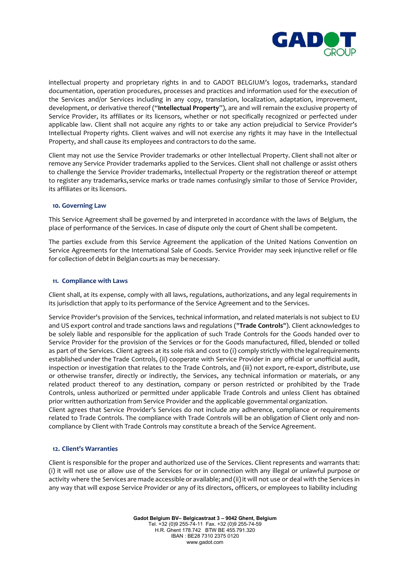

intellectual property and proprietary rights in and to GADOT BELGIUM's logos, trademarks, standard documentation, operation procedures, processes and practices and information used for the execution of the Services and/or Services including in any copy, translation, localization, adaptation, improvement, development, or derivative thereof ("**Intellectual Property**"), are and will remain the exclusive property of Service Provider, its affiliates or its licensors, whether or not specifically recognized or perfected under applicable law. Client shall not acquire any rights to or take any action prejudicial to Service Provider's Intellectual Property rights. Client waives and will not exercise any rights it may have in the Intellectual Property, and shall cause its employees and contractors to do the same.

Client may not use the Service Provider trademarks or other Intellectual Property. Client shall not alter or remove any Service Provider trademarks applied to the Services. Client shall not challenge or assist others to challenge the Service Provider trademarks, Intellectual Property or the registration thereof or attempt to register any trademarks,service marks or trade names confusingly similar to those of Service Provider, its affiliates or its licensors.

## **10. Governing Law**

This Service Agreement shall be governed by and interpreted in accordance with the laws of Belgium, the place of performance of the Services. In case of dispute only the court of Ghent shall be competent.

The parties exclude from this Service Agreement the application of the United Nations Convention on Service Agreements for the International Sale of Goods. Service Provider may seek injunctive relief or file for collection of debt in Belgian courts as may be necessary.

## **11. Compliance with Laws**

Client shall, at its expense, comply with all laws, regulations, authorizations, and any legal requirements in its jurisdiction that apply to its performance of the Service Agreement and to the Services.

Service Provider's provision of the Services, technical information, and related materials is not subject to EU and US export control and trade sanctions laws and regulations ("**Trade Controls**"). Client acknowledges to be solely liable and responsible for the application of such Trade Controls for the Goods handed over to Service Provider for the provision of the Services or for the Goods manufactured, filled, blended or tolled as part of the Services. Client agrees at its sole risk and cost to (i) comply strictly with the legalrequirements established under the Trade Controls, (ii) cooperate with Service Provider in any official or unofficial audit, inspection or investigation that relates to the Trade Controls, and (iii) not export, re-export, distribute, use or otherwise transfer, directly or indirectly, the Services, any technical information or materials, or any related product thereof to any destination, company or person restricted or prohibited by the Trade Controls, unless authorized or permitted under applicable Trade Controls and unless Client has obtained prior written authorization from Service Provider and the applicable governmental organization.

Client agrees that Service Provider's Services do not include any adherence, compliance or requirements related to Trade Controls. The compliance with Trade Controls will be an obligation of Client only and noncompliance by Client with Trade Controls may constitute a breach of the Service Agreement.

#### **12. Client's Warranties**

Client is responsible for the proper and authorized use of the Services. Client represents and warrants that: (i) it will not use or allow use of the Services for or in connection with any illegal or unlawful purpose or activity where the Services are made accessible or available; and (ii) it will not use or deal with the Services in any way that will expose Service Provider or any of its directors, officers, or employees to liability including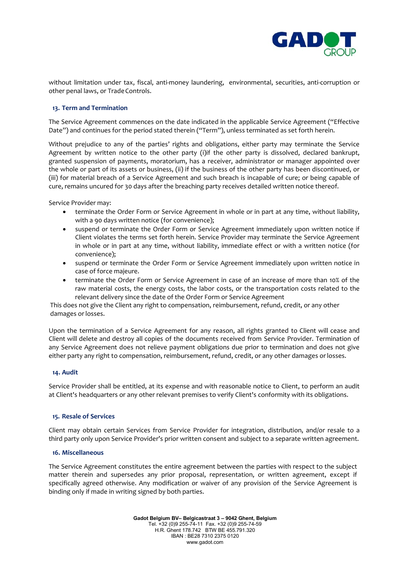

without limitation under tax, fiscal, anti-money laundering, environmental, securities, anti-corruption or other penal laws, or Trade Controls.

## **13. Term and Termination**

The Service Agreement commences on the date indicated in the applicable Service Agreement ("Effective Date") and continues for the period stated therein ("Term"), unless terminated as set forth herein.

Without prejudice to any of the parties' rights and obligations, either party may terminate the Service Agreement by written notice to the other party (i)if the other party is dissolved, declared bankrupt, granted suspension of payments, moratorium, has a receiver, administrator or manager appointed over the whole or part of its assets or business, (ii) if the business of the other party has been discontinued, or (iii) for material breach of a Service Agreement and such breach is incapable of cure; or being capable of cure, remains uncured for 30 days after the breaching party receives detailed written notice thereof.

Service Provider may:

- terminate the Order Form or Service Agreement in whole or in part at any time, without liability, with a 90 days written notice (for convenience);
- suspend or terminate the Order Form or Service Agreement immediately upon written notice if Client violates the terms set forth herein. Service Provider may terminate the Service Agreement in whole or in part at any time, without liability, immediate effect or with a written notice (for convenience);
- suspend or terminate the Order Form or Service Agreement immediately upon written notice in case of force majeure.
- terminate the Order Form or Service Agreement in case of an increase of more than 10% of the raw material costs, the energy costs, the labor costs, or the transportation costs related to the relevant delivery since the date of the Order Form or Service Agreement

This does not give the Client any right to compensation, reimbursement, refund, credit, or any other damages orlosses.

Upon the termination of a Service Agreement for any reason, all rights granted to Client will cease and Client will delete and destroy all copies of the documents received from Service Provider. Termination of any Service Agreement does not relieve payment obligations due prior to termination and does not give either party any right to compensation, reimbursement, refund, credit, or any other damages orlosses.

#### **14. Audit**

Service Provider shall be entitled, at its expense and with reasonable notice to Client, to perform an audit at Client's headquarters or any other relevant premises to verify Client's conformity with its obligations.

#### **15. Resale of Services**

Client may obtain certain Services from Service Provider for integration, distribution, and/or resale to a third party only upon Service Provider's prior written consent and subject to a separate written agreement.

#### **16. Miscellaneous**

The Service Agreement constitutes the entire agreement between the parties with respect to the subject matter therein and supersedes any prior proposal, representation, or written agreement, except if specifically agreed otherwise. Any modification or waiver of any provision of the Service Agreement is binding only if made in writing signed by both parties.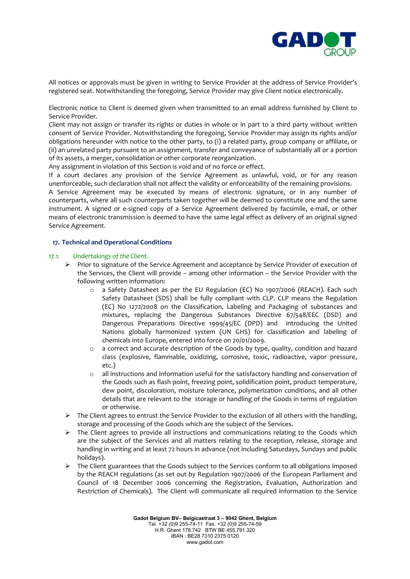

All notices or approvals must be given in writing to Service Provider at the address of Service Provider's registered seat. Notwithstanding the foregoing, Service Provider may give Client notice electronically.

Electronic notice to Client is deemed given when transmitted to an email address furnished by Client to Service Provider.

Client may not assign or transfer its rights or duties in whole or in part to a third party without written consent of Service Provider. Notwithstanding the foregoing, Service Provider may assign its rights and/or obligations hereunder with notice to the other party, to (i) a related party, group company or affiliate, or (ii) an unrelated party pursuant to an assignment, transfer and conveyance of substantially all or a portion of its assets, a merger, consolidation or other corporate reorganization.

Any assignment in violation of this Section is void and of no force or effect.

If a court declares any provision of the Service Agreement as unlawful, void, or for any reason unenforceable, such declaration shall not affect the validity or enforceability of the remaining provisions.

A Service Agreement may be executed by means of electronic signature, or in any number of counterparts, where all such counterparts taken together will be deemed to constitute one and the same instrument. A signed or e-signed copy of a Service Agreement delivered by facsimile, e-mail, or other means of electronic transmission is deemed to have the same legal effect as delivery of an original signed Service Agreement.

## **17. Technical and Operational Conditions**

#### *17.1. Undertakings of the Client.*

- $\triangleright$  Prior to signature of the Service Agreement and acceptance by Service Provider of execution of the Services, the Client will provide – among other information – the Service Provider with the following written information:
	- o a Safety Datasheet as per the EU Regulation (EC) No 1907/2006 (REACH). Each such Safety Datasheet (SDS) shall be fully compliant with CLP. CLP means the Regulation (EC) No 1272/2008 on the Classification, Labeling and Packaging of substances and mixtures, replacing the Dangerous Substances Directive 67/548/EEC (DSD) and Dangerous Preparations Directive 1999/45/EC (DPD) and introducing the United Nations globally harmonized system (UN GHS) for classification and labeling of chemicals into Europe, entered into force on 20/01/2009.
	- $\circ$  a correct and accurate description of the Goods by type, quality, condition and hazard class (explosive, flammable, oxidizing, corrosive, toxic, radioactive, vapor pressure, etc.)
	- $\circ$  all instructions and information useful for the satisfactory handling and conservation of the Goods such as flash point, freezing point, solidification point, product temperature, dew point, discoloration, moisture tolerance, polymerization conditions, and all other details that are relevant to the storage or handling of the Goods in terms of regulation or otherwise.
- $\triangleright$  The Client agrees to entrust the Service Provider to the exclusion of all others with the handling, storage and processing of the Goods which are the subject of the Services.
- $\triangleright$  The Client agrees to provide all instructions and communications relating to the Goods which are the subject of the Services and all matters relating to the reception, release, storage and handling in writing and at least 72 hours in advance (not including Saturdays, Sundays and public holidays).
- $\triangleright$  The Client guarantees that the Goods subject to the Services conform to all obligations imposed by the REACH regulations (as set out by Regulation 1907/2006 of the European Parliament and Council of 18 December 2006 concerning the Registration, Evaluation, Authorization and Restriction of Chemicals). The Client will communicate all required information to the Service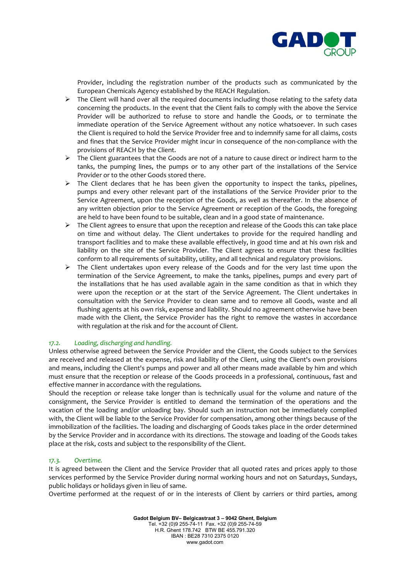

Provider, including the registration number of the products such as communicated by the European Chemicals Agency established by the REACH Regulation.

- $\triangleright$  The Client will hand over all the required documents including those relating to the safety data concerning the products. In the event that the Client fails to comply with the above the Service Provider will be authorized to refuse to store and handle the Goods, or to terminate the immediate operation of the Service Agreement without any notice whatsoever. In such cases the Client is required to hold the Service Provider free and to indemnify same for all claims, costs and fines that the Service Provider might incur in consequence of the non-compliance with the provisions of REACH by the Client.
- The Client guarantees that the Goods are not of a nature to cause direct or indirect harm to the tanks, the pumping lines, the pumps or to any other part of the installations of the Service Provider or to the other Goods stored there.
- $\triangleright$  The Client declares that he has been given the opportunity to inspect the tanks, pipelines, pumps and every other relevant part of the installations of the Service Provider prior to the Service Agreement, upon the reception of the Goods, as well as thereafter. In the absence of any written objection prior to the Service Agreement or reception of the Goods, the foregoing are held to have been found to be suitable, clean and in a good state of maintenance.
- $\triangleright$  The Client agrees to ensure that upon the reception and release of the Goods this can take place on time and without delay. The Client undertakes to provide for the required handling and transport facilities and to make these available effectively, in good time and at his own risk and liability on the site of the Service Provider. The Client agrees to ensure that these facilities conform to all requirements of suitability, utility, and all technical and regulatory provisions.
- $\triangleright$  The Client undertakes upon every release of the Goods and for the very last time upon the termination of the Service Agreement, to make the tanks, pipelines, pumps and every part of the installations that he has used available again in the same condition as that in which they were upon the reception or at the start of the Service Agreement. The Client undertakes in consultation with the Service Provider to clean same and to remove all Goods, waste and all flushing agents at his own risk, expense and liability. Should no agreement otherwise have been made with the Client, the Service Provider has the right to remove the wastes in accordance with regulation at the risk and for the account of Client.

# *17.2. Loading, discharging and handling.*

Unless otherwise agreed between the Service Provider and the Client, the Goods subject to the Services are received and released at the expense, risk and liability of the Client, using the Client's own provisions and means, including the Client's pumps and power and all other means made available by him and which must ensure that the reception or release of the Goods proceeds in a professional, continuous, fast and effective manner in accordance with the regulations.

Should the reception or release take longer than is technically usual for the volume and nature of the consignment, the Service Provider is entitled to demand the termination of the operations and the vacation of the loading and/or unloading bay. Should such an instruction not be immediately complied with, the Client will be liable to the Service Provider for compensation, among other things because of the immobilization of the facilities. The loading and discharging of Goods takes place in the order determined by the Service Provider and in accordance with its directions. The stowage and loading of the Goods takes place at the risk, costs and subject to the responsibility of the Client.

#### *17.3. Overtime.*

It is agreed between the Client and the Service Provider that all quoted rates and prices apply to those services performed by the Service Provider during normal working hours and not on Saturdays, Sundays, public holidays or holidays given in lieu of same.

Overtime performed at the request of or in the interests of Client by carriers or third parties, among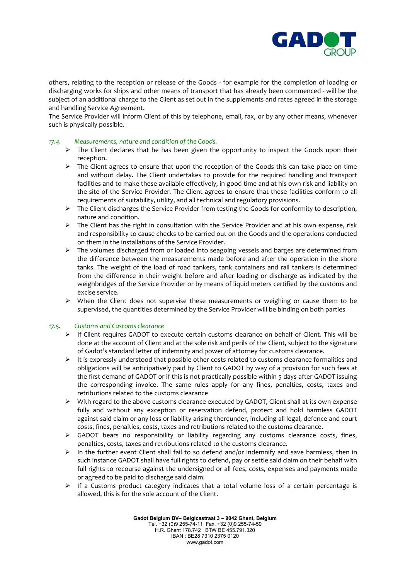

others, relating to the reception or release of the Goods - for example for the completion of loading or discharging works for ships and other means of transport that has already been commenced - will be the subject of an additional charge to the Client as set out in the supplements and rates agreed in the storage and handling Service Agreement.

The Service Provider will inform Client of this by telephone, email, fax, or by any other means, whenever such is physically possible.

## *17.4. Measurements, nature and condition of the Goods.*

- $\triangleright$  The Client declares that he has been given the opportunity to inspect the Goods upon their reception.
- $\triangleright$  The Client agrees to ensure that upon the reception of the Goods this can take place on time and without delay. The Client undertakes to provide for the required handling and transport facilities and to make these available effectively, in good time and at his own risk and liability on the site of the Service Provider. The Client agrees to ensure that these facilities conform to all requirements of suitability, utility, and all technical and regulatory provisions.
- $\triangleright$  The Client discharges the Service Provider from testing the Goods for conformity to description, nature and condition.
- $\triangleright$  The Client has the right in consultation with the Service Provider and at his own expense, risk and responsibility to cause checks to be carried out on the Goods and the operations conducted on them in the installations of the Service Provider.
- $\triangleright$  The volumes discharged from or loaded into seagoing vessels and barges are determined from the difference between the measurements made before and after the operation in the shore tanks. The weight of the load of road tankers, tank containers and rail tankers is determined from the difference in their weight before and after loading or discharge as indicated by the weighbridges of the Service Provider or by means of liquid meters certified by the customs and excise service.
- When the Client does not supervise these measurements or weighing or cause them to be supervised, the quantities determined by the Service Provider will be binding on both parties

# *17.5. Customs and Customs clearance*

- $\triangleright$  If Client requires GADOT to execute certain customs clearance on behalf of Client. This will be done at the account of Client and at the sole risk and perils of the Client, subject to the signature of Gadot's standard letter of indemnity and power of attorney for customs clearance.
- $\triangleright$  It is expressly understood that possible other costs related to customs clearance formalities and obligations will be anticipatively paid by Client to GADOT by way of a provision for such fees at the first demand of GADOT or if this is not practically possible within 5 days after GADOT issuing the corresponding invoice. The same rules apply for any fines, penalties, costs, taxes and retributions related to the customs clearance
- $\triangleright$  With regard to the above customs clearance executed by GADOT, Client shall at its own expense fully and without any exception or reservation defend, protect and hold harmless GADOT against said claim or any loss or liability arising thereunder, including all legal, defence and court costs, fines, penalties, costs, taxes and retributions related to the customs clearance.
- GADOT bears no responsibility or liability regarding any customs clearance costs, fines, penalties, costs, taxes and retributions related to the customs clearance.
- $\triangleright$  In the further event Client shall fail to so defend and/or indemnify and save harmless, then in such instance GADOT shall have full rights to defend, pay or settle said claim on their behalf with full rights to recourse against the undersigned or all fees, costs, expenses and payments made or agreed to be paid to discharge said claim.
- $\triangleright$  If a Customs product category indicates that a total volume loss of a certain percentage is allowed, this is for the sole account of the Client.